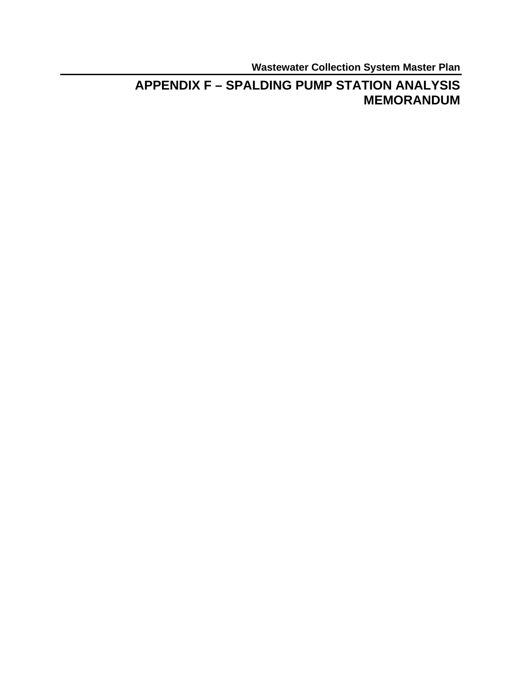**Wastewater Collection System Master Plan** 

**APPENDIX F – SPALDING PUMP STATION ANALYSIS MEMORANDUM**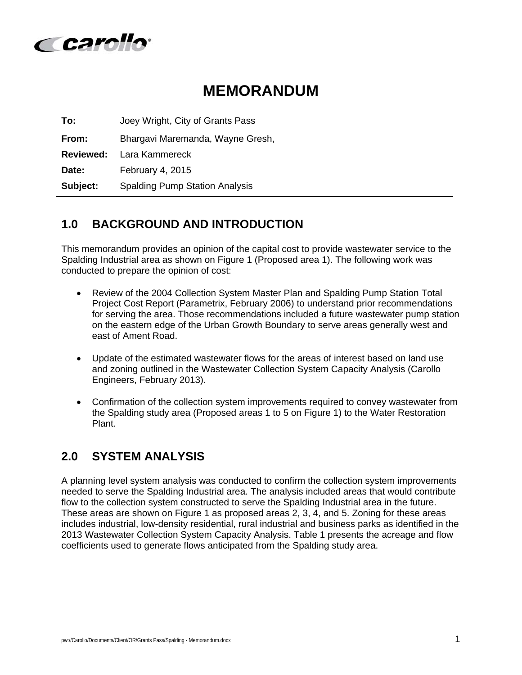

# **MEMORANDUM**

**To:** Joey Wright, City of Grants Pass **From:** Bhargavi Maremanda, Wayne Gresh, **Reviewed:** Lara Kammereck **Date:** February 4, 2015 **Subject:** Spalding Pump Station Analysis

### **1.0 BACKGROUND AND INTRODUCTION**

This memorandum provides an opinion of the capital cost to provide wastewater service to the Spalding Industrial area as shown on Figure 1 (Proposed area 1). The following work was conducted to prepare the opinion of cost:

- Review of the 2004 Collection System Master Plan and Spalding Pump Station Total Project Cost Report (Parametrix, February 2006) to understand prior recommendations for serving the area. Those recommendations included a future wastewater pump station on the eastern edge of the Urban Growth Boundary to serve areas generally west and east of Ament Road.
- Update of the estimated wastewater flows for the areas of interest based on land use and zoning outlined in the Wastewater Collection System Capacity Analysis (Carollo Engineers, February 2013).
- Confirmation of the collection system improvements required to convey wastewater from the Spalding study area (Proposed areas 1 to 5 on Figure 1) to the Water Restoration Plant.

#### **2.0 SYSTEM ANALYSIS**

A planning level system analysis was conducted to confirm the collection system improvements needed to serve the Spalding Industrial area. The analysis included areas that would contribute flow to the collection system constructed to serve the Spalding Industrial area in the future. These areas are shown on Figure 1 as proposed areas 2, 3, 4, and 5. Zoning for these areas includes industrial, low-density residential, rural industrial and business parks as identified in the 2013 Wastewater Collection System Capacity Analysis. Table 1 presents the acreage and flow coefficients used to generate flows anticipated from the Spalding study area.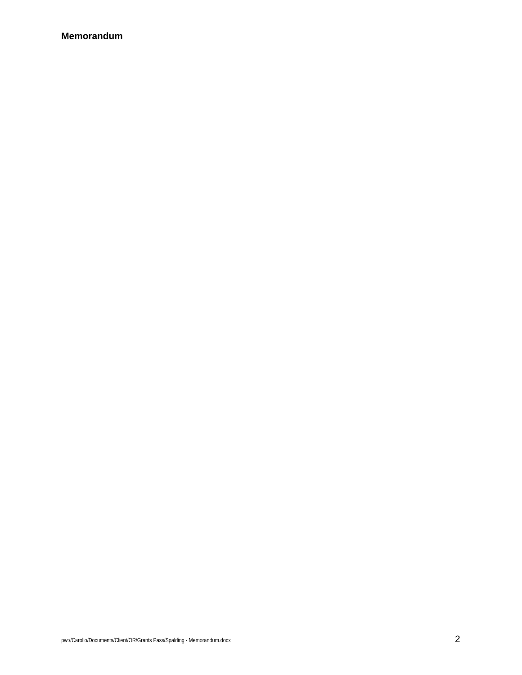#### **Memorandum**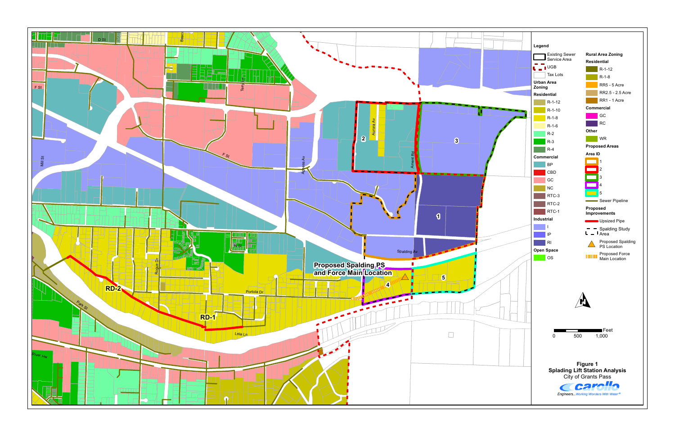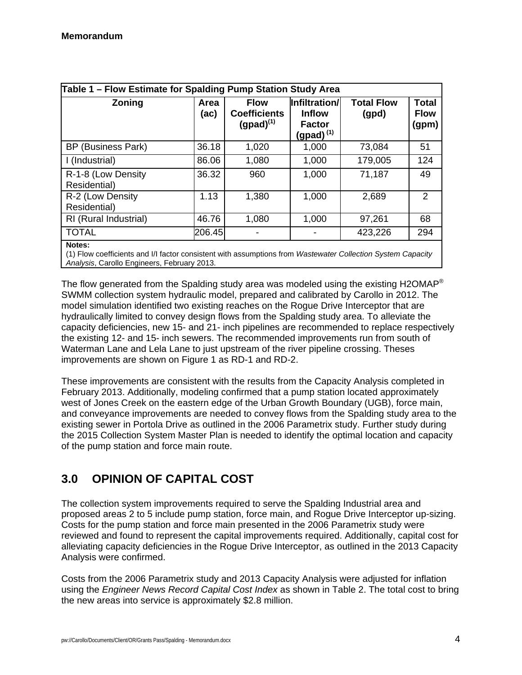| Table 1 – Flow Estimate for Spalding Pump Station Study Area<br>Zoning                                                                                               | Area<br>(ac) | <b>Flow</b><br><b>Coefficients</b><br>$(gpad)^{(1)}$ | Infiltration/<br><b>Inflow</b><br><b>Factor</b><br>(gpad) $(1)$ | <b>Total Flow</b><br>(gpd) | <b>Total</b><br><b>Flow</b><br>(gpm) |
|----------------------------------------------------------------------------------------------------------------------------------------------------------------------|--------------|------------------------------------------------------|-----------------------------------------------------------------|----------------------------|--------------------------------------|
| BP (Business Park)                                                                                                                                                   | 36.18        | 1,020                                                | 1,000                                                           | 73,084                     | 51                                   |
| I (Industrial)                                                                                                                                                       | 86.06        | 1,080                                                | 1,000                                                           | 179,005                    | 124                                  |
| R-1-8 (Low Density<br>Residential)                                                                                                                                   | 36.32        | 960                                                  | 1,000                                                           | 71,187                     | 49                                   |
| R-2 (Low Density<br>Residential)                                                                                                                                     | 1.13         | 1,380                                                | 1,000                                                           | 2,689                      | 2                                    |
| RI (Rural Industrial)                                                                                                                                                | 46.76        | 1,080                                                | 1,000                                                           | 97,261                     | 68                                   |
| <b>TOTAL</b>                                                                                                                                                         | 206.45       |                                                      |                                                                 | 423,226                    | 294                                  |
| Notes:<br>(1) Flow coefficients and I/I factor consistent with assumptions from Wastewater Collection System Capacity<br>Analysis, Carollo Engineers, February 2013. |              |                                                      |                                                                 |                            |                                      |

The flow generated from the Spalding study area was modeled using the existing H2OMAP<sup>®</sup> SWMM collection system hydraulic model, prepared and calibrated by Carollo in 2012. The model simulation identified two existing reaches on the Rogue Drive Interceptor that are hydraulically limited to convey design flows from the Spalding study area. To alleviate the capacity deficiencies, new 15- and 21- inch pipelines are recommended to replace respectively the existing 12- and 15- inch sewers. The recommended improvements run from south of Waterman Lane and Lela Lane to just upstream of the river pipeline crossing. Theses improvements are shown on Figure 1 as RD-1 and RD-2.

These improvements are consistent with the results from the Capacity Analysis completed in February 2013. Additionally, modeling confirmed that a pump station located approximately west of Jones Creek on the eastern edge of the Urban Growth Boundary (UGB), force main, and conveyance improvements are needed to convey flows from the Spalding study area to the existing sewer in Portola Drive as outlined in the 2006 Parametrix study. Further study during the 2015 Collection System Master Plan is needed to identify the optimal location and capacity of the pump station and force main route.

## **3.0 OPINION OF CAPITAL COST**

The collection system improvements required to serve the Spalding Industrial area and proposed areas 2 to 5 include pump station, force main, and Rogue Drive Interceptor up-sizing. Costs for the pump station and force main presented in the 2006 Parametrix study were reviewed and found to represent the capital improvements required. Additionally, capital cost for alleviating capacity deficiencies in the Rogue Drive Interceptor, as outlined in the 2013 Capacity Analysis were confirmed.

Costs from the 2006 Parametrix study and 2013 Capacity Analysis were adjusted for inflation using the *Engineer News Record Capital Cost Index* as shown in Table 2. The total cost to bring the new areas into service is approximately \$2.8 million.